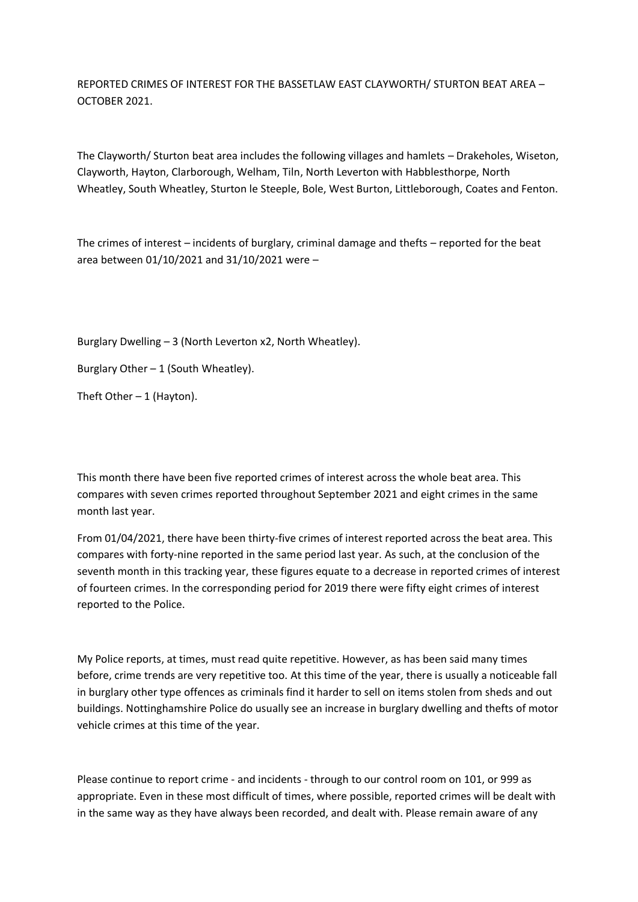REPORTED CRIMES OF INTEREST FOR THE BASSETLAW EAST CLAYWORTH/ STURTON BEAT AREA – OCTOBER 2021.

The Clayworth/ Sturton beat area includes the following villages and hamlets – Drakeholes, Wiseton, Clayworth, Hayton, Clarborough, Welham, Tiln, North Leverton with Habblesthorpe, North Wheatley, South Wheatley, Sturton le Steeple, Bole, West Burton, Littleborough, Coates and Fenton.

The crimes of interest – incidents of burglary, criminal damage and thefts – reported for the beat area between 01/10/2021 and 31/10/2021 were –

Burglary Dwelling – 3 (North Leverton x2, North Wheatley).

Burglary Other  $-1$  (South Wheatley).

Theft Other  $-1$  (Hayton).

This month there have been five reported crimes of interest across the whole beat area. This compares with seven crimes reported throughout September 2021 and eight crimes in the same month last year.

From 01/04/2021, there have been thirty-five crimes of interest reported across the beat area. This compares with forty-nine reported in the same period last year. As such, at the conclusion of the seventh month in this tracking year, these figures equate to a decrease in reported crimes of interest of fourteen crimes. In the corresponding period for 2019 there were fifty eight crimes of interest reported to the Police.

My Police reports, at times, must read quite repetitive. However, as has been said many times before, crime trends are very repetitive too. At this time of the year, there is usually a noticeable fall in burglary other type offences as criminals find it harder to sell on items stolen from sheds and out buildings. Nottinghamshire Police do usually see an increase in burglary dwelling and thefts of motor vehicle crimes at this time of the year.

Please continue to report crime - and incidents - through to our control room on 101, or 999 as appropriate. Even in these most difficult of times, where possible, reported crimes will be dealt with in the same way as they have always been recorded, and dealt with. Please remain aware of any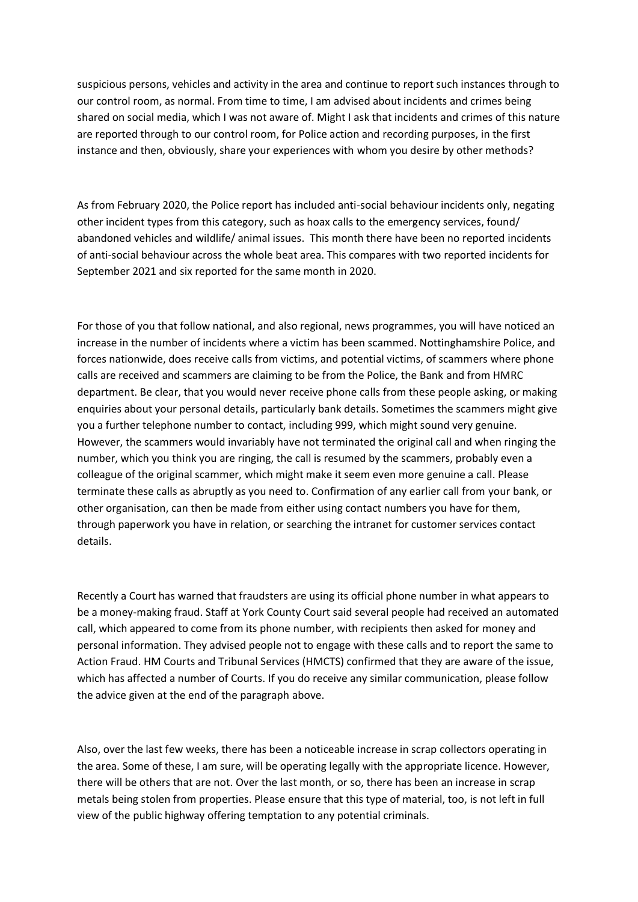suspicious persons, vehicles and activity in the area and continue to report such instances through to our control room, as normal. From time to time, I am advised about incidents and crimes being shared on social media, which I was not aware of. Might I ask that incidents and crimes of this nature are reported through to our control room, for Police action and recording purposes, in the first instance and then, obviously, share your experiences with whom you desire by other methods?

As from February 2020, the Police report has included anti-social behaviour incidents only, negating other incident types from this category, such as hoax calls to the emergency services, found/ abandoned vehicles and wildlife/ animal issues. This month there have been no reported incidents of anti-social behaviour across the whole beat area. This compares with two reported incidents for September 2021 and six reported for the same month in 2020.

For those of you that follow national, and also regional, news programmes, you will have noticed an increase in the number of incidents where a victim has been scammed. Nottinghamshire Police, and forces nationwide, does receive calls from victims, and potential victims, of scammers where phone calls are received and scammers are claiming to be from the Police, the Bank and from HMRC department. Be clear, that you would never receive phone calls from these people asking, or making enquiries about your personal details, particularly bank details. Sometimes the scammers might give you a further telephone number to contact, including 999, which might sound very genuine. However, the scammers would invariably have not terminated the original call and when ringing the number, which you think you are ringing, the call is resumed by the scammers, probably even a colleague of the original scammer, which might make it seem even more genuine a call. Please terminate these calls as abruptly as you need to. Confirmation of any earlier call from your bank, or other organisation, can then be made from either using contact numbers you have for them, through paperwork you have in relation, or searching the intranet for customer services contact details.

Recently a Court has warned that fraudsters are using its official phone number in what appears to be a money-making fraud. Staff at York County Court said several people had received an automated call, which appeared to come from its phone number, with recipients then asked for money and personal information. They advised people not to engage with these calls and to report the same to Action Fraud. HM Courts and Tribunal Services (HMCTS) confirmed that they are aware of the issue, which has affected a number of Courts. If you do receive any similar communication, please follow the advice given at the end of the paragraph above.

Also, over the last few weeks, there has been a noticeable increase in scrap collectors operating in the area. Some of these, I am sure, will be operating legally with the appropriate licence. However, there will be others that are not. Over the last month, or so, there has been an increase in scrap metals being stolen from properties. Please ensure that this type of material, too, is not left in full view of the public highway offering temptation to any potential criminals.